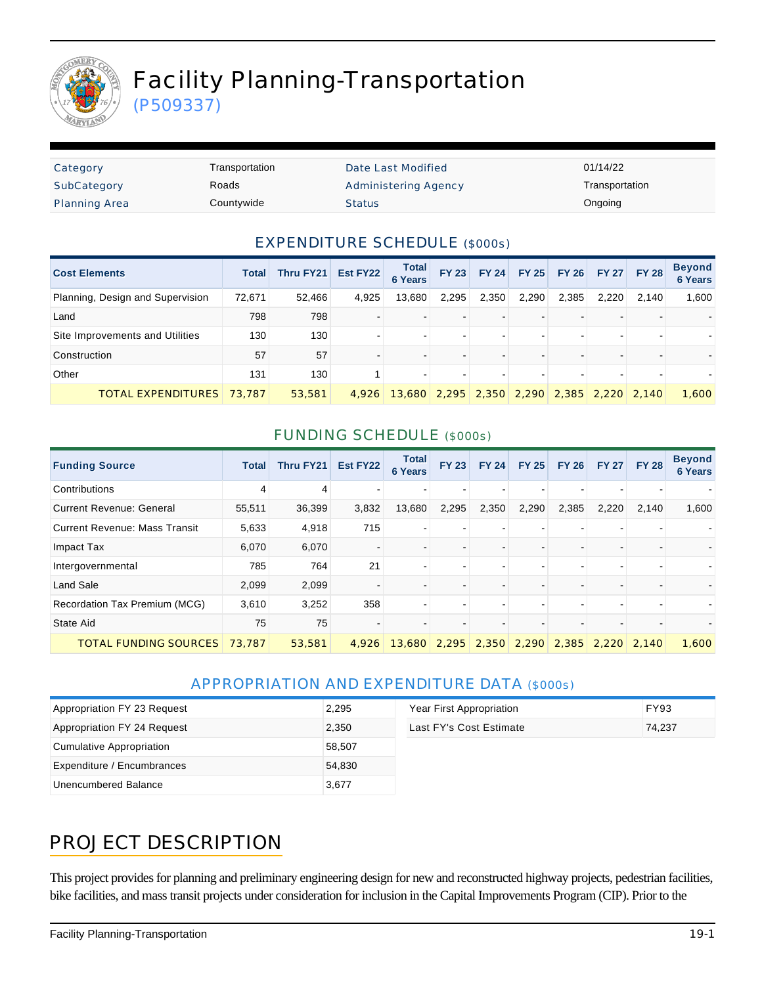

# Facility Planning-Transportation

(P509337)

| Category             | Transportation | Date Last Modified          | 01/14/22       |
|----------------------|----------------|-----------------------------|----------------|
| SubCategory          | Roads          | <b>Administering Agency</b> | Transportation |
| <b>Planning Area</b> | Countywide     | <b>Status</b>               | Ongoing        |

#### EXPENDITURE SCHEDULE (\$000s)

| <b>Cost Elements</b>             | Total            | Thru FY21 | Est FY22 | <b>Total</b><br><b>6 Years</b> | <b>FY 23</b> |       | <b>FY 24 FY 25</b> | <b>FY 26</b> |                               | FY 27 FY 28 | <b>Beyond</b><br><b>6 Years</b> |
|----------------------------------|------------------|-----------|----------|--------------------------------|--------------|-------|--------------------|--------------|-------------------------------|-------------|---------------------------------|
| Planning, Design and Supervision | 72,671           | 52,466    | 4,925    | 13,680                         | 2,295        | 2,350 | 2,290              | 2,385        | 2,220                         | 2,140       | 1,600                           |
| Land                             | 798              | 798       |          |                                |              |       |                    |              |                               |             |                                 |
| Site Improvements and Utilities  | 130 <sub>1</sub> | 130       |          |                                |              |       |                    |              |                               |             |                                 |
| Construction                     | 57               | 57        |          |                                |              |       |                    |              |                               |             |                                 |
| Other                            | 131              | 130       |          |                                |              |       |                    |              |                               |             |                                 |
| <b>TOTAL EXPENDITURES</b>        | 73,787           | 53,581    | 4.926    | 13,680                         | 2,295        |       |                    |              | 2,350 2,290 2,385 2,220 2,140 |             | 1,600                           |

#### FUNDING SCHEDULE (\$000s)

| <b>Funding Source</b>           | <b>Total</b> | <b>Thru FY21</b> | Est FY22 | <b>Total</b><br><b>6 Years</b>             | <b>FY 23</b>   | <b>FY 24</b> | <b>FY 25</b> | <b>FY 26</b> | <b>FY 27</b> | <b>FY 28</b> | <b>Beyond</b><br>6 Years |
|---------------------------------|--------------|------------------|----------|--------------------------------------------|----------------|--------------|--------------|--------------|--------------|--------------|--------------------------|
| Contributions                   | 4            | 4                |          |                                            |                |              |              |              |              |              |                          |
| <b>Current Revenue: General</b> | 55,511       | 36,399           | 3,832    | 13,680                                     | 2,295          | 2,350        | 2,290        | 2,385        | 2,220        | 2,140        | 1,600                    |
| Current Revenue: Mass Transit   | 5,633        | 4,918            | 715      |                                            | -              |              |              |              |              |              |                          |
| Impact Tax                      | 6,070        | 6,070            |          |                                            |                |              |              |              |              |              |                          |
| Intergovernmental               | 785          | 764              | 21       | ۰                                          | ۰              |              |              |              |              |              |                          |
| <b>Land Sale</b>                | 2,099        | 2,099            |          |                                            |                |              |              |              |              |              |                          |
| Recordation Tax Premium (MCG)   | 3,610        | 3,252            | 358      | ۰                                          | $\blacksquare$ |              |              |              |              |              |                          |
| State Aid                       | 75           | 75               |          |                                            |                |              |              |              |              |              |                          |
| <b>TOTAL FUNDING SOURCES</b>    | 73.787       | 53,581           | 4.926    | 13,680 2,295 2,350 2,290 2,385 2,220 2,140 |                |              |              |              |              |              | 1.600                    |

### APPROPRIATION AND EXPENDITURE DATA (\$000s)

| Appropriation FY 23 Request | 2.295  | Year First Appropriation | <b>FY93</b> |
|-----------------------------|--------|--------------------------|-------------|
| Appropriation FY 24 Request | 2,350  | Last FY's Cost Estimate  | 74.237      |
| Cumulative Appropriation    | 58.507 |                          |             |
| Expenditure / Encumbrances  | 54,830 |                          |             |
| Unencumbered Balance        | 3,677  |                          |             |

### PROJECT DESCRIPTION

This project provides for planning and preliminary engineering design for new and reconstructed highway projects, pedestrian facilities, bike facilities, and mass transit projects under consideration for inclusion in the Capital Improvements Program (CIP). Prior to the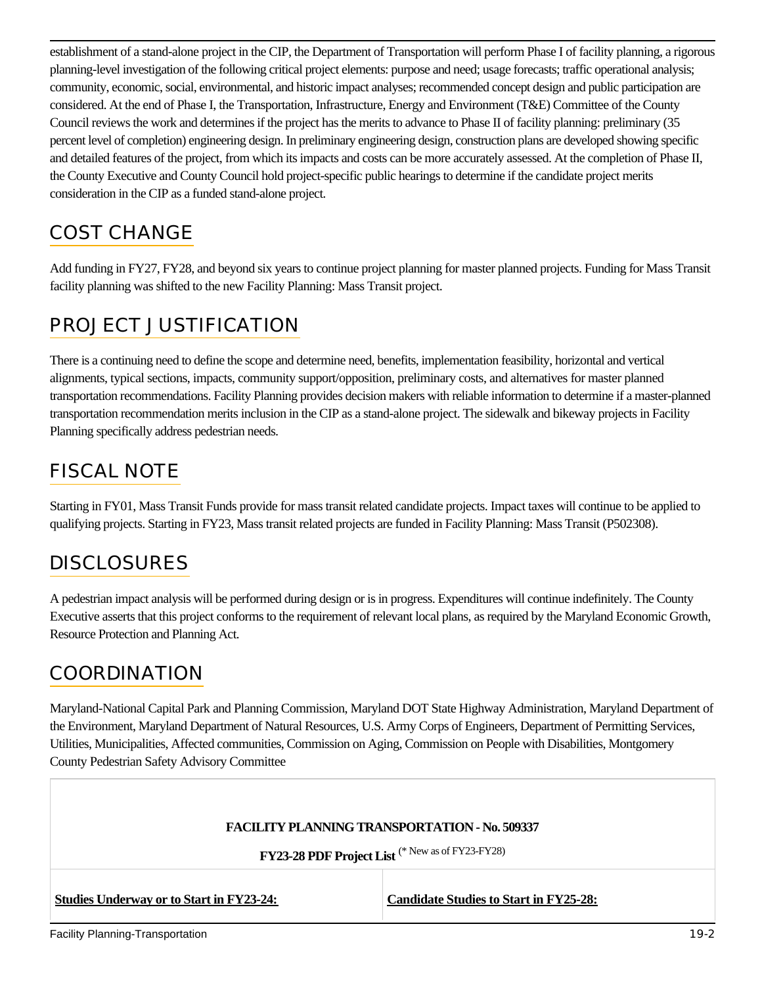establishment of a stand-alone project in the CIP, the Department of Transportation will perform Phase I of facility planning, a rigorous planning-level investigation of the following critical project elements: purpose and need; usage forecasts; traffic operational analysis; community, economic, social, environmental, and historic impact analyses; recommended concept design and public participation are considered. At the end of Phase I, the Transportation, Infrastructure, Energy and Environment (T&E) Committee of the County Council reviews the work and determines if the project has the merits to advance to Phase II of facility planning: preliminary (35 percent level of completion) engineering design. In preliminary engineering design, construction plans are developed showing specific and detailed features of the project, from which its impacts and costs can be more accurately assessed. At the completion of Phase II, the County Executive and County Council hold project-specific public hearings to determine if the candidate project merits consideration in the CIP as a funded stand-alone project.

# COST CHANGE

Add funding in FY27, FY28, and beyond six years to continue project planning for master planned projects. Funding for Mass Transit facility planning was shifted to the new Facility Planning: Mass Transit project.

# PROJECT JUSTIFICATION

There is a continuing need to define the scope and determine need, benefits, implementation feasibility, horizontal and vertical alignments, typical sections, impacts, community support/opposition, preliminary costs, and alternatives for master planned transportation recommendations. Facility Planning provides decision makers with reliable information to determine if a master-planned transportation recommendation merits inclusion in the CIP as a stand-alone project. The sidewalk and bikeway projects in Facility Planning specifically address pedestrian needs.

# FISCAL NOTE

Starting in FY01, Mass Transit Funds provide for mass transit related candidate projects. Impact taxes will continue to be applied to qualifying projects. Starting in FY23, Mass transit related projects are funded in Facility Planning: Mass Transit (P502308).

# **DISCLOSURES**

A pedestrian impact analysis will be performed during design or is in progress. Expenditures will continue indefinitely. The County Executive asserts that this project conforms to the requirement of relevant local plans, as required by the Maryland Economic Growth, Resource Protection and Planning Act.

### **COORDINATION**

Maryland-National Capital Park and Planning Commission, Maryland DOT State Highway Administration, Maryland Department of the Environment, Maryland Department of Natural Resources, U.S. Army Corps of Engineers, Department of Permitting Services, Utilities, Municipalities, Affected communities, Commission on Aging, Commission on People with Disabilities, Montgomery County Pedestrian Safety Advisory Committee

|                                                 | <b>FACILITY PLANNING TRANSPORTATION - No. 509337</b>        |      |
|-------------------------------------------------|-------------------------------------------------------------|------|
|                                                 | FY23-28 PDF Project List <sup>(* New as of FY23-FY28)</sup> |      |
| <b>Studies Underway or to Start in FY23-24:</b> | <b>Candidate Studies to Start in FY25-28:</b>               |      |
| <b>Facility Planning-Transportation</b>         |                                                             | 19-2 |